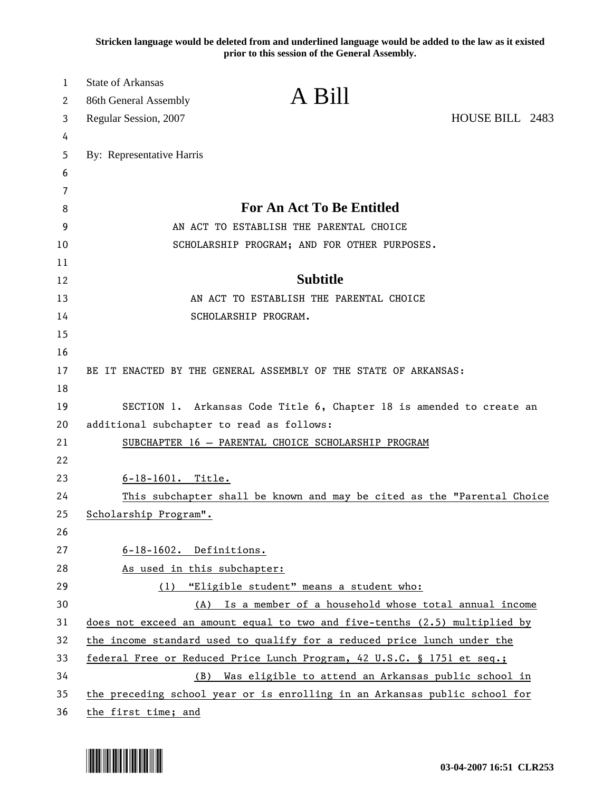**Stricken language would be deleted from and underlined language would be added to the law as it existed prior to this session of the General Assembly.**

| 1<br>2 | <b>State of Arkansas</b><br>86th General Assembly                          | A Bill                                                                  |
|--------|----------------------------------------------------------------------------|-------------------------------------------------------------------------|
| 3      | Regular Session, 2007                                                      | HOUSE BILL 2483                                                         |
| 4      |                                                                            |                                                                         |
| 5      | By: Representative Harris                                                  |                                                                         |
| 6      |                                                                            |                                                                         |
| 7      |                                                                            |                                                                         |
| 8      |                                                                            | For An Act To Be Entitled                                               |
| 9      | AN ACT TO ESTABLISH THE PARENTAL CHOICE                                    |                                                                         |
| 10     | SCHOLARSHIP PROGRAM; AND FOR OTHER PURPOSES.                               |                                                                         |
| 11     |                                                                            |                                                                         |
| 12     |                                                                            | <b>Subtitle</b>                                                         |
| 13     | AN ACT TO ESTABLISH THE PARENTAL CHOICE                                    |                                                                         |
| 14     | SCHOLARSHIP PROGRAM.                                                       |                                                                         |
| 15     |                                                                            |                                                                         |
| 16     |                                                                            |                                                                         |
| 17     | BE IT ENACTED BY THE GENERAL ASSEMBLY OF THE STATE OF ARKANSAS:            |                                                                         |
| 18     |                                                                            |                                                                         |
| 19     |                                                                            | SECTION 1. Arkansas Code Title 6, Chapter 18 is amended to create an    |
| 20     | additional subchapter to read as follows:                                  |                                                                         |
| 21     | SUBCHAPTER 16 - PARENTAL CHOICE SCHOLARSHIP PROGRAM                        |                                                                         |
| 22     |                                                                            |                                                                         |
| 23     | 6-18-1601. Title.                                                          |                                                                         |
| 24     |                                                                            | This subchapter shall be known and may be cited as the "Parental Choice |
| 25     | Scholarship Program".                                                      |                                                                         |
| 26     |                                                                            |                                                                         |
| 27     | 6-18-1602. Definitions.                                                    |                                                                         |
| 28     | As used in this subchapter:                                                |                                                                         |
| 29     | (1) "Eligible student" means a student who:                                |                                                                         |
| 30     |                                                                            | (A) Is a member of a household whose total annual income                |
| 31     | does not exceed an amount equal to two and five-tenths (2.5) multiplied by |                                                                         |
| 32     | the income standard used to qualify for a reduced price lunch under the    |                                                                         |
| 33     | federal Free or Reduced Price Lunch Program, 42 U.S.C. § 1751 et seq.;     |                                                                         |
| 34     |                                                                            | (B) Was eligible to attend an Arkansas public school in                 |
| 35     | the preceding school year or is enrolling in an Arkansas public school for |                                                                         |
| 36     | the first time; and                                                        |                                                                         |

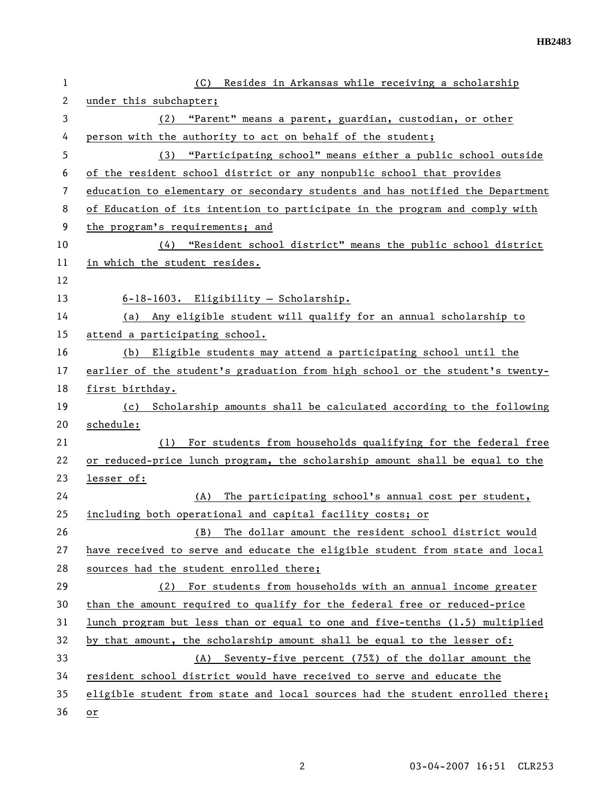| $\mathbf{1}$   | (C) Resides in Arkansas while receiving a scholarship                         |
|----------------|-------------------------------------------------------------------------------|
| $\overline{2}$ | under this subchapter;                                                        |
| 3              | "Parent" means a parent, guardian, custodian, or other<br>(2)                 |
| 4              | person with the authority to act on behalf of the student;                    |
| 5              | (3) "Participating school" means either a public school outside               |
| 6              | of the resident school district or any nonpublic school that provides         |
| 7              | education to elementary or secondary students and has notified the Department |
| 8              | of Education of its intention to participate in the program and comply with   |
| 9              | the program's requirements; and                                               |
| 10             | "Resident school district" means the public school district<br>(4)            |
| 11             | in which the student resides.                                                 |
| 12             |                                                                               |
| 13             | 6-18-1603. Eligibility - Scholarship.                                         |
| 14             | Any eligible student will qualify for an annual scholarship to<br>(a)         |
| 15             | attend a participating school.                                                |
| 16             | Eligible students may attend a participating school until the<br>(b)          |
| 17             | earlier of the student's graduation from high school or the student's twenty- |
| 18             | first birthday.                                                               |
| 19             | Scholarship amounts shall be calculated according to the following<br>(c)     |
| 20             | schedule:                                                                     |
| 21             | For students from households qualifying for the federal free<br>(1)           |
| 22             | or reduced-price lunch program, the scholarship amount shall be equal to the  |
| 23             | lesser of:                                                                    |
| 24             | The participating school's annual cost per student,<br>(A)                    |
| 25             | including both operational and capital facility costs; or                     |
| 26             | The dollar amount the resident school district would<br>(B)                   |
| 27             | have received to serve and educate the eligible student from state and local  |
| 28             | sources had the student enrolled there;                                       |
| 29             | For students from households with an annual income greater<br>(2)             |
| 30             | than the amount required to qualify for the federal free or reduced-price     |
| 31             | lunch program but less than or equal to one and five-tenths (1.5) multiplied  |
| 32             | by that amount, the scholarship amount shall be equal to the lesser of:       |
| 33             | Seventy-five percent (75%) of the dollar amount the<br>(A)                    |
| 34             | resident school district would have received to serve and educate the         |
| 35             | eligible student from state and local sources had the student enrolled there; |
| 36             | or                                                                            |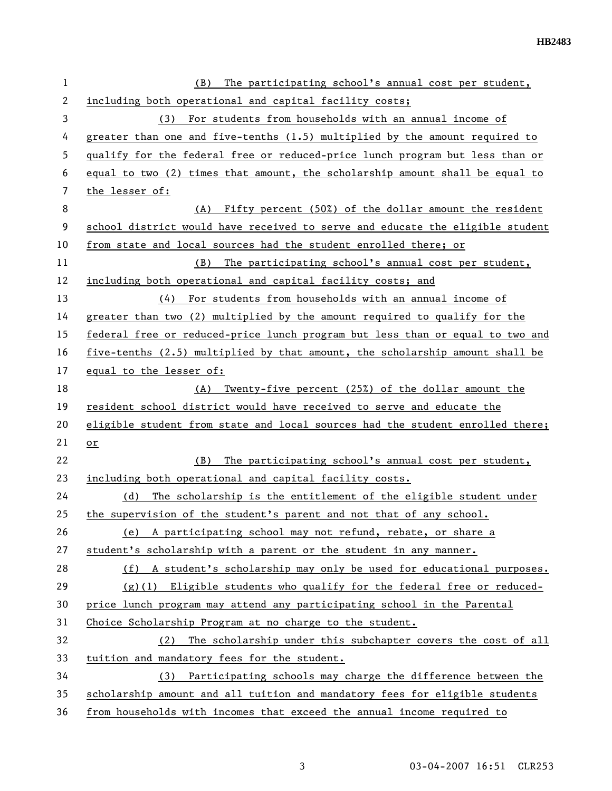| $\mathbf 1$  | The participating school's annual cost per student,<br>(B)                    |
|--------------|-------------------------------------------------------------------------------|
| $\mathbf{2}$ | including both operational and capital facility costs;                        |
| 3            | (3) For students from households with an annual income of                     |
| 4            | greater than one and five-tenths $(1.5)$ multiplied by the amount required to |
| 5            | qualify for the federal free or reduced-price lunch program but less than or  |
| 6            | equal to two (2) times that amount, the scholarship amount shall be equal to  |
| 7            | the lesser of:                                                                |
| 8            | (A) Fifty percent (50%) of the dollar amount the resident                     |
| 9            | school district would have received to serve and educate the eligible student |
| 10           | from state and local sources had the student enrolled there; or               |
| 11           | The participating school's annual cost per student,<br>(B)                    |
| 12           | including both operational and capital facility costs; and                    |
| 13           | (4) For students from households with an annual income of                     |
| 14           | greater than two (2) multiplied by the amount required to qualify for the     |
| 15           | federal free or reduced-price lunch program but less than or equal to two and |
| 16           | five-tenths (2.5) multiplied by that amount, the scholarship amount shall be  |
| 17           | equal to the lesser of:                                                       |
| 18           | Twenty-five percent (25%) of the dollar amount the<br>(A)                     |
| 19           | resident school district would have received to serve and educate the         |
| 20           | eligible student from state and local sources had the student enrolled there; |
| 21           | $or$                                                                          |
| 22           | The participating school's annual cost per student,<br>(B)                    |
| 23           | including both operational and capital facility costs.                        |
| 24           | The scholarship is the entitlement of the eligible student under<br>(d)       |
| 25           | the supervision of the student's parent and not that of any school.           |
| 26           | (e) A participating school may not refund, rebate, or share a                 |
| 27           | student's scholarship with a parent or the student in any manner.             |
| 28           | (f) A student's scholarship may only be used for educational purposes.        |
| 29           | $(g)(1)$ Eligible students who qualify for the federal free or reduced-       |
| 30           | price lunch program may attend any participating school in the Parental       |
| 31           | Choice Scholarship Program at no charge to the student.                       |
| 32           | The scholarship under this subchapter covers the cost of all<br>(2)           |
| 33           | tuition and mandatory fees for the student.                                   |
| 34           | (3) Participating schools may charge the difference between the               |
| 35           | scholarship amount and all tuition and mandatory fees for eligible students   |
| 36           | from households with incomes that exceed the annual income required to        |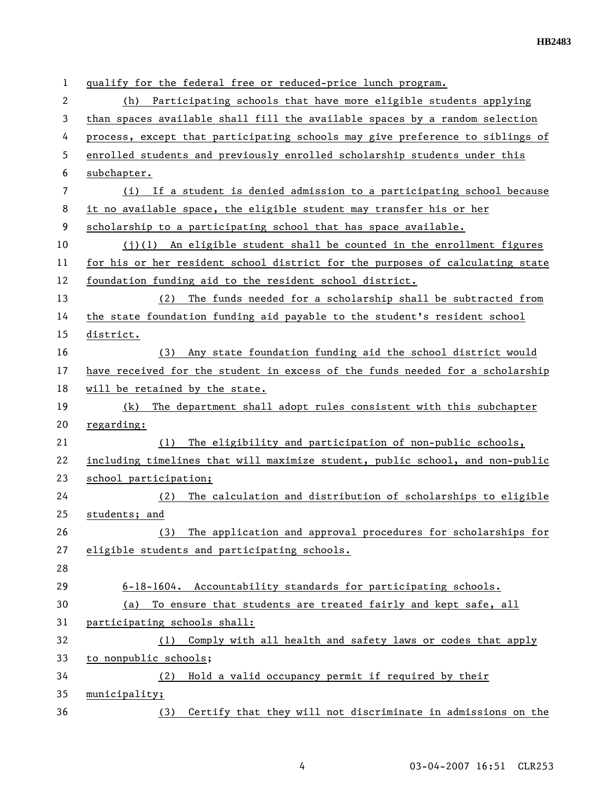| 1  | qualify for the federal free or reduced-price lunch program.                  |
|----|-------------------------------------------------------------------------------|
| 2  | Participating schools that have more eligible students applying<br>(h)        |
| 3  | than spaces available shall fill the available spaces by a random selection   |
| 4  | process, except that participating schools may give preference to siblings of |
| 5  | enrolled students and previously enrolled scholarship students under this     |
| 6  | subchapter.                                                                   |
| 7  | (i) If a student is denied admission to a participating school because        |
| 8  | it no available space, the eligible student may transfer his or her           |
| 9  | scholarship to a participating school that has space available.               |
| 10 | $(j)(1)$ An eligible student shall be counted in the enrollment figures       |
| 11 | for his or her resident school district for the purposes of calculating state |
| 12 | foundation funding aid to the resident school district.                       |
| 13 | (2)<br>The funds needed for a scholarship shall be subtracted from            |
| 14 | the state foundation funding aid payable to the student's resident school     |
| 15 | district.                                                                     |
| 16 | Any state foundation funding aid the school district would<br>(3)             |
| 17 | have received for the student in excess of the funds needed for a scholarship |
| 18 | will be retained by the state.                                                |
| 19 | The department shall adopt rules consistent with this subchapter<br>(k)       |
| 20 | regarding:                                                                    |
| 21 | The eligibility and participation of non-public schools,<br>(1)               |
| 22 | including timelines that will maximize student, public school, and non-public |
| 23 | school participation;                                                         |
| 24 | The calculation and distribution of scholarships to eligible<br>(2)           |
| 25 | students; and                                                                 |
| 26 | The application and approval procedures for scholarships for<br>(3)           |
| 27 | eligible students and participating schools.                                  |
| 28 |                                                                               |
| 29 | 6-18-1604. Accountability standards for participating schools.                |
| 30 | To ensure that students are treated fairly and kept safe, all<br>(a)          |
| 31 | participating schools shall:                                                  |
| 32 | Comply with all health and safety laws or codes that apply<br>(1)             |
| 33 | to nonpublic schools;                                                         |
| 34 | Hold a valid occupancy permit if required by their<br>(2)                     |
| 35 | municipality;                                                                 |
| 36 | Certify that they will not discriminate in admissions on the<br>(3)           |

4 03-04-2007 16:51 CLR253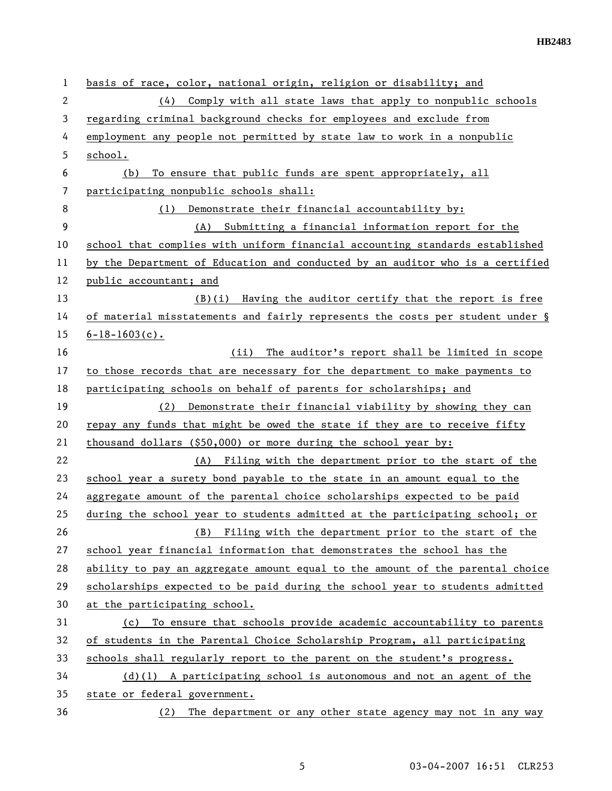| 1              | basis of race, color, national origin, religion or disability; and            |
|----------------|-------------------------------------------------------------------------------|
| $\overline{2}$ | (4) Comply with all state laws that apply to nonpublic schools                |
| 3              | regarding criminal background checks for employees and exclude from           |
| 4              | employment any people not permitted by state law to work in a nonpublic       |
| 5              | school.                                                                       |
| 6              | To ensure that public funds are spent appropriately, all<br>(b)               |
| 7              | participating nonpublic schools shall:                                        |
| 8              | Demonstrate their financial accountability by:<br>(1)                         |
| 9              | (A) Submitting a financial information report for the                         |
| 10             | school that complies with uniform financial accounting standards established  |
| 11             | by the Department of Education and conducted by an auditor who is a certified |
| 12             | public accountant; and                                                        |
| 13             | $(B)(i)$ Having the auditor certify that the report is free                   |
| 14             | of material misstatements and fairly represents the costs per student under § |
| 15             | $6 - 18 - 1603(c)$ .                                                          |
| 16             | The auditor's report shall be limited in scope<br>(ii)                        |
| 17             | to those records that are necessary for the department to make payments to    |
| 18             | participating schools on behalf of parents for scholarships; and              |
| 19             | Demonstrate their financial viability by showing they can<br>(2)              |
| 20             | repay any funds that might be owed the state if they are to receive fifty     |
| 21             | thousand dollars $( $50,000)$ or more during the school year by:              |
| 22             | (A) Filing with the department prior to the start of the                      |
| 23             | school year a surety bond payable to the state in an amount equal to the      |
| 24             | aggregate amount of the parental choice scholarships expected to be paid      |
| 25             | during the school year to students admitted at the participating school; or   |
| 26             | (B) Filing with the department prior to the start of the                      |
| 27             | school year financial information that demonstrates the school has the        |
| 28             | ability to pay an aggregate amount equal to the amount of the parental choice |
| 29             | scholarships expected to be paid during the school year to students admitted  |
| 30             | at the participating school.                                                  |
| 31             | To ensure that schools provide academic accountability to parents<br>(c)      |
| 32             | of students in the Parental Choice Scholarship Program, all participating     |
| 33             | schools shall regularly report to the parent on the student's progress.       |
| 34             | $(d)(1)$ A participating school is autonomous and not an agent of the         |
| 35             | state or federal government.                                                  |
| 36             | (2) The department or any other state agency may not in any way               |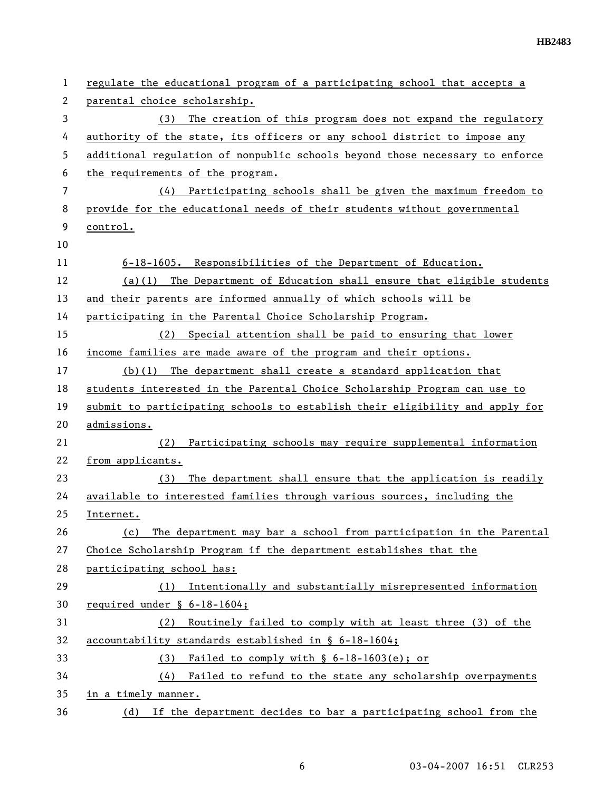| 1  | regulate the educational program of a participating school that accepts a    |
|----|------------------------------------------------------------------------------|
| 2  | parental choice scholarship.                                                 |
| 3  | The creation of this program does not expand the regulatory<br>(3)           |
| 4  | authority of the state, its officers or any school district to impose any    |
| 5  | additional regulation of nonpublic schools beyond those necessary to enforce |
| 6  | the requirements of the program.                                             |
| 7  | (4) Participating schools shall be given the maximum freedom to              |
| 8  | provide for the educational needs of their students without governmental     |
| 9  | control.                                                                     |
| 10 |                                                                              |
| 11 | 6-18-1605. Responsibilities of the Department of Education.                  |
| 12 | $(a)(1)$ The Department of Education shall ensure that eligible students     |
| 13 | and their parents are informed annually of which schools will be             |
| 14 | participating in the Parental Choice Scholarship Program.                    |
| 15 | (2) Special attention shall be paid to ensuring that lower                   |
| 16 | income families are made aware of the program and their options.             |
| 17 | $(b)(1)$ The department shall create a standard application that             |
| 18 | students interested in the Parental Choice Scholarship Program can use to    |
| 19 | submit to participating schools to establish their eligibility and apply for |
| 20 | admissions.                                                                  |
| 21 | Participating schools may require supplemental information<br>(2)            |
| 22 | from applicants.                                                             |
| 23 | The department shall ensure that the application is readily<br>(3)           |
| 24 | available to interested families through various sources, including the      |
| 25 | Internet.                                                                    |
| 26 | The department may bar a school from participation in the Parental<br>(c)    |
| 27 | Choice Scholarship Program if the department establishes that the            |
| 28 | participating school has:                                                    |
| 29 | Intentionally and substantially misrepresented information<br>(1)            |
| 30 | required under $\S$ 6-18-1604;                                               |
| 31 | Routinely failed to comply with at least three (3) of the<br>(2)             |
| 32 | accountability standards established in § 6-18-1604;                         |
| 33 | Failed to comply with $\S$ 6-18-1603(e); or<br>(3)                           |
| 34 | Failed to refund to the state any scholarship overpayments<br>(4)            |
| 35 | in a timely manner.                                                          |
| 36 | (d) If the department decides to bar a participating school from the         |